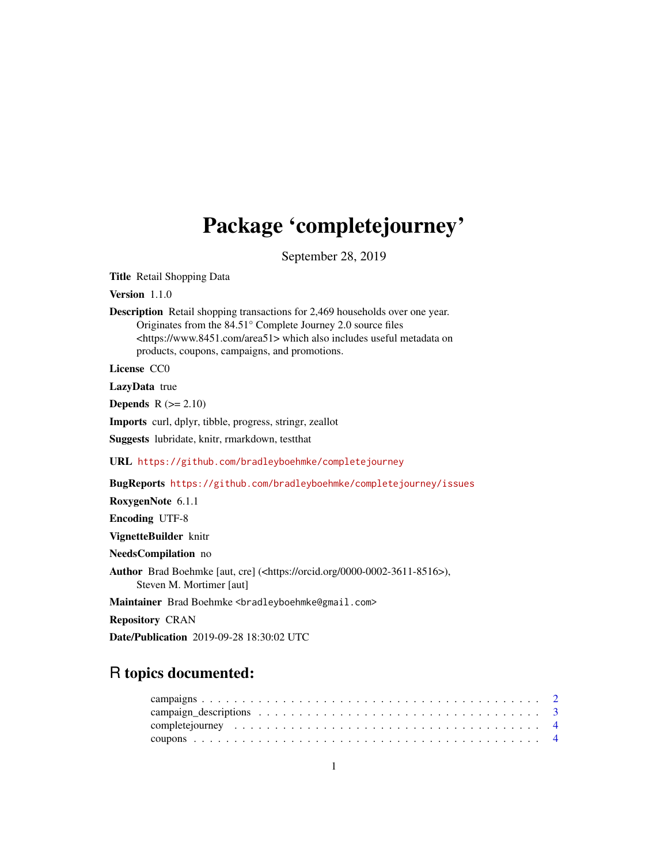## Package 'completejourney'

September 28, 2019

Title Retail Shopping Data

Version 1.1.0

Description Retail shopping transactions for 2,469 households over one year. Originates from the 84.51° Complete Journey 2.0 source files <https://www.8451.com/area51> which also includes useful metadata on products, coupons, campaigns, and promotions.

License CC0

LazyData true

Depends  $R$  ( $>= 2.10$ )

Imports curl, dplyr, tibble, progress, stringr, zeallot

Suggests lubridate, knitr, rmarkdown, testthat

URL <https://github.com/bradleyboehmke/completejourney>

BugReports <https://github.com/bradleyboehmke/completejourney/issues>

RoxygenNote 6.1.1

Encoding UTF-8

VignetteBuilder knitr

NeedsCompilation no

Author Brad Boehmke [aut, cre] (<https://orcid.org/0000-0002-3611-8516>), Steven M. Mortimer [aut]

Maintainer Brad Boehmke <bradleyboehmke@gmail.com>

Repository CRAN

Date/Publication 2019-09-28 18:30:02 UTC

## R topics documented: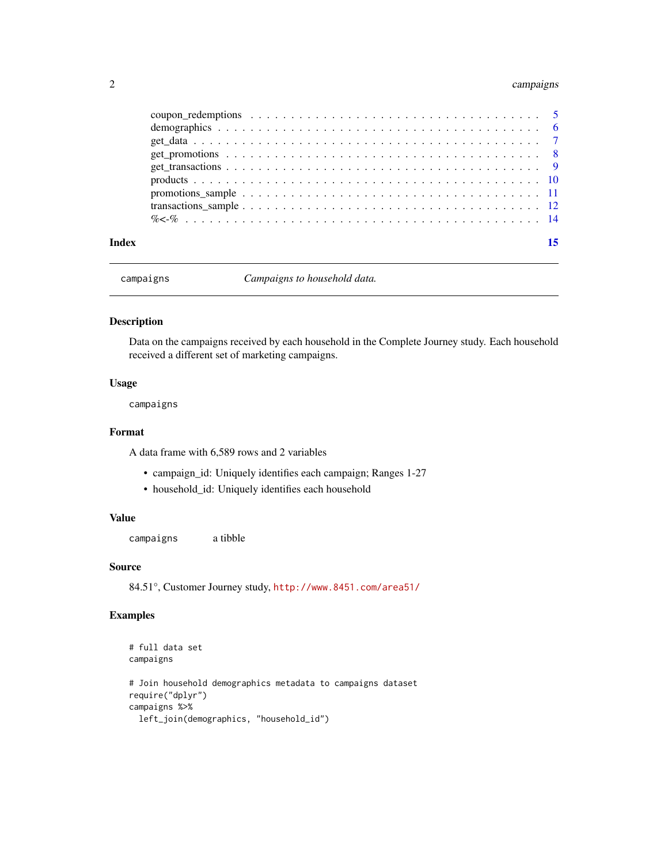#### <span id="page-1-0"></span>2 campaigns

| Index |  |
|-------|--|
|       |  |
|       |  |
|       |  |
|       |  |
|       |  |
|       |  |
|       |  |
|       |  |
|       |  |

campaigns *Campaigns to household data.*

#### Description

Data on the campaigns received by each household in the Complete Journey study. Each household received a different set of marketing campaigns.

#### Usage

campaigns

#### Format

A data frame with 6,589 rows and 2 variables

- campaign\_id: Uniquely identifies each campaign; Ranges 1-27
- household\_id: Uniquely identifies each household

#### Value

campaigns a tibble

#### Source

84.51°, Customer Journey study, <http://www.8451.com/area51/>

```
# full data set
campaigns
# Join household demographics metadata to campaigns dataset
require("dplyr")
campaigns %>%
 left_join(demographics, "household_id")
```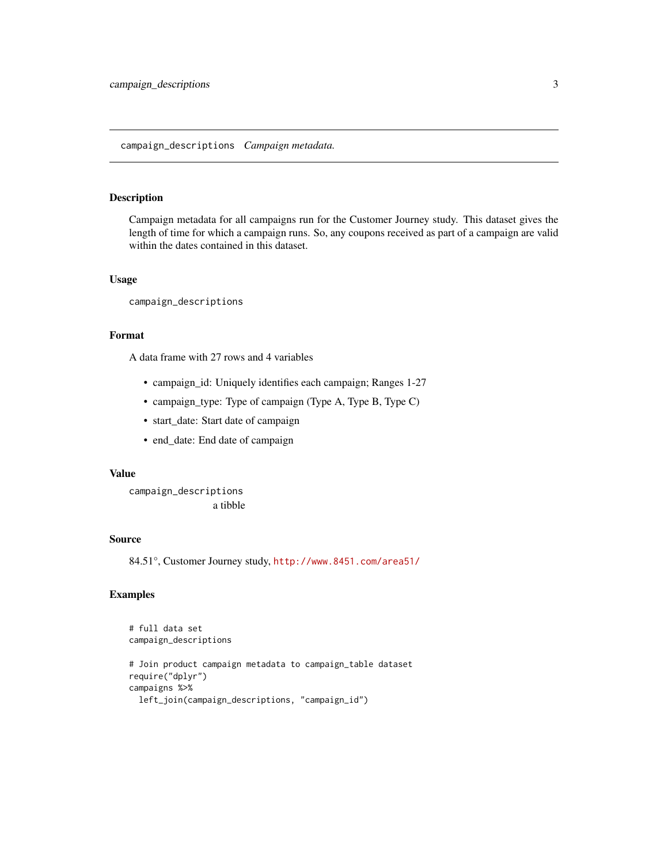#### <span id="page-2-0"></span>campaign\_descriptions *Campaign metadata.*

#### Description

Campaign metadata for all campaigns run for the Customer Journey study. This dataset gives the length of time for which a campaign runs. So, any coupons received as part of a campaign are valid within the dates contained in this dataset.

#### Usage

campaign\_descriptions

#### Format

A data frame with 27 rows and 4 variables

- campaign\_id: Uniquely identifies each campaign; Ranges 1-27
- campaign\_type: Type of campaign (Type A, Type B, Type C)
- start\_date: Start date of campaign
- end\_date: End date of campaign

#### Value

campaign\_descriptions a tibble

#### Source

84.51°, Customer Journey study, <http://www.8451.com/area51/>

```
# full data set
campaign_descriptions
```

```
# Join product campaign metadata to campaign_table dataset
require("dplyr")
campaigns %>%
 left_join(campaign_descriptions, "campaign_id")
```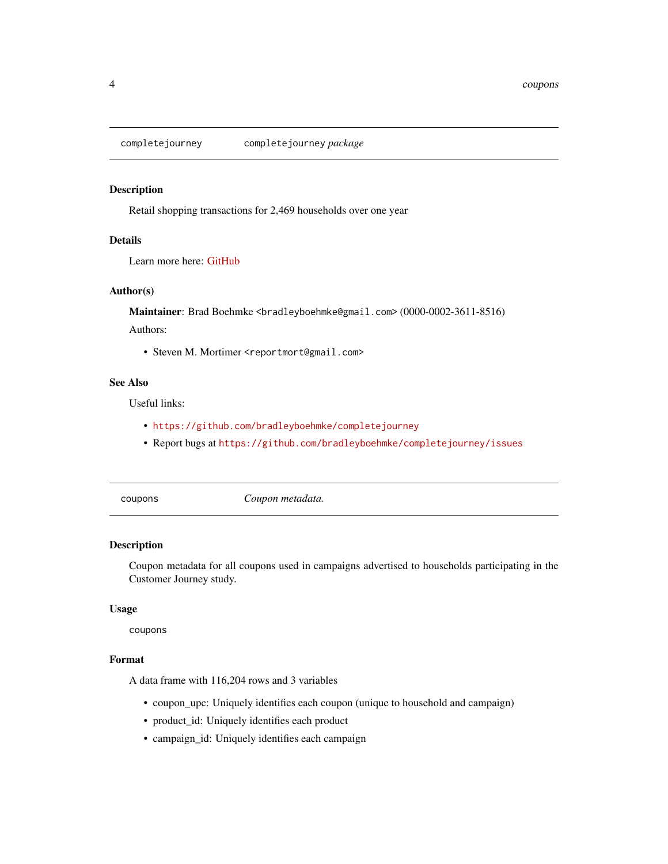<span id="page-3-0"></span>completejourney completejourney *package*

#### Description

Retail shopping transactions for 2,469 households over one year

#### Details

Learn more here: [GitHub](https://github.com/bradleyboehmke/completejourney)

#### Author(s)

Maintainer: Brad Boehmke <bradleyboehmke@gmail.com> (0000-0002-3611-8516) Authors:

• Steven M. Mortimer <reportmort@gmail.com>

#### See Also

Useful links:

- <https://github.com/bradleyboehmke/completejourney>
- Report bugs at <https://github.com/bradleyboehmke/completejourney/issues>

coupons *Coupon metadata.*

#### Description

Coupon metadata for all coupons used in campaigns advertised to households participating in the Customer Journey study.

#### Usage

coupons

#### Format

A data frame with 116,204 rows and 3 variables

- coupon\_upc: Uniquely identifies each coupon (unique to household and campaign)
- product\_id: Uniquely identifies each product
- campaign\_id: Uniquely identifies each campaign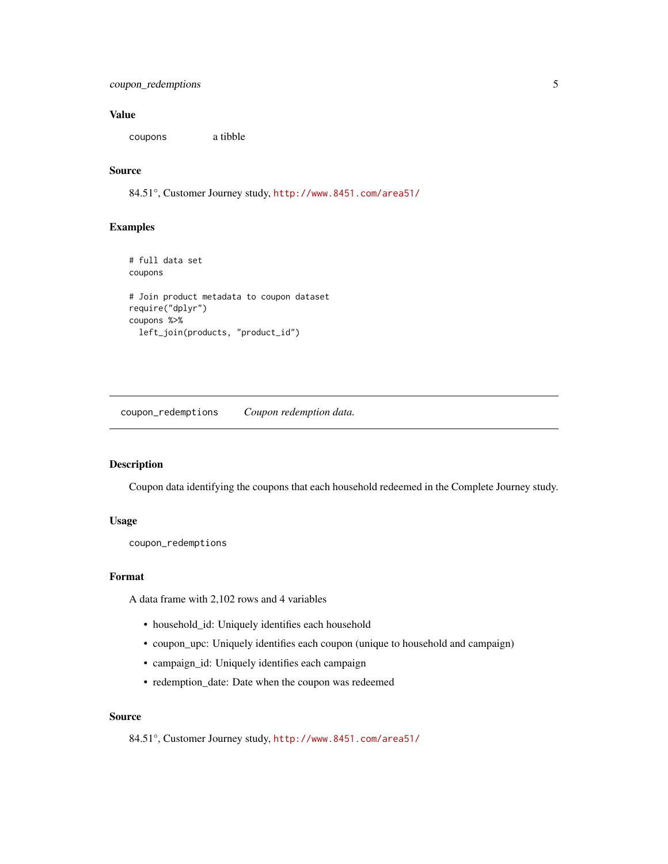#### <span id="page-4-0"></span>Value

coupons a tibble

#### Source

84.51°, Customer Journey study, <http://www.8451.com/area51/>

#### Examples

```
# full data set
coupons
# Join product metadata to coupon dataset
require("dplyr")
coupons %>%
  left_join(products, "product_id")
```
coupon\_redemptions *Coupon redemption data.*

#### Description

Coupon data identifying the coupons that each household redeemed in the Complete Journey study.

#### Usage

coupon\_redemptions

#### Format

A data frame with 2,102 rows and 4 variables

- household\_id: Uniquely identifies each household
- coupon\_upc: Uniquely identifies each coupon (unique to household and campaign)
- campaign\_id: Uniquely identifies each campaign
- redemption\_date: Date when the coupon was redeemed

#### Source

84.51°, Customer Journey study, <http://www.8451.com/area51/>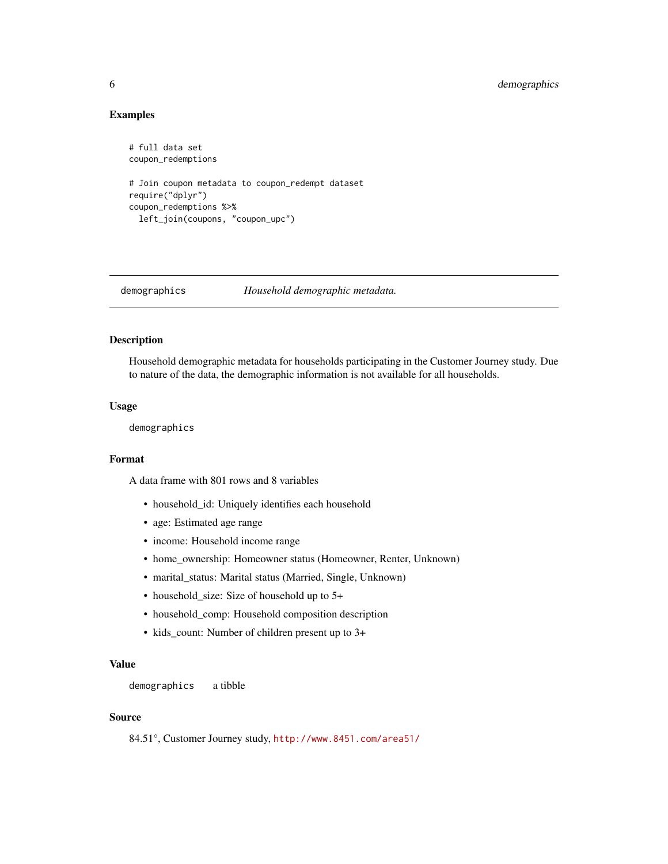#### Examples

```
# full data set
coupon_redemptions
# Join coupon metadata to coupon_redempt dataset
require("dplyr")
coupon_redemptions %>%
 left_join(coupons, "coupon_upc")
```
demographics *Household demographic metadata.*

#### Description

Household demographic metadata for households participating in the Customer Journey study. Due to nature of the data, the demographic information is not available for all households.

#### Usage

demographics

#### Format

A data frame with 801 rows and 8 variables

- household\_id: Uniquely identifies each household
- age: Estimated age range
- income: Household income range
- home\_ownership: Homeowner status (Homeowner, Renter, Unknown)
- marital\_status: Marital status (Married, Single, Unknown)
- household\_size: Size of household up to 5+
- household\_comp: Household composition description
- kids\_count: Number of children present up to 3+

#### Value

demographics a tibble

#### Source

84.51°, Customer Journey study, <http://www.8451.com/area51/>

<span id="page-5-0"></span>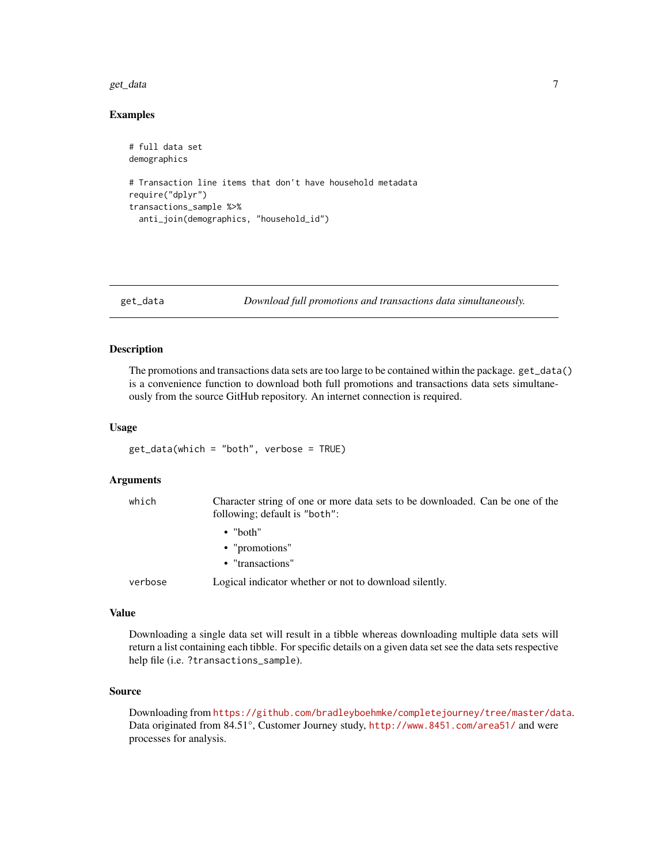#### <span id="page-6-0"></span>get\_data 7

#### Examples

```
# full data set
demographics
# Transaction line items that don't have household metadata
require("dplyr")
transactions_sample %>%
 anti_join(demographics, "household_id")
```
get\_data *Download full promotions and transactions data simultaneously.*

#### Description

The promotions and transactions data sets are too large to be contained within the package. get\_data() is a convenience function to download both full promotions and transactions data sets simultaneously from the source GitHub repository. An internet connection is required.

#### Usage

get\_data(which = "both", verbose = TRUE)

#### Arguments

| which   | Character string of one or more data sets to be downloaded. Can be one of the<br>following; default is "both": |
|---------|----------------------------------------------------------------------------------------------------------------|
|         | $\bullet$ "both"                                                                                               |
|         | $\bullet$ "promotions"                                                                                         |
|         | • "transactions"                                                                                               |
| verbose | Logical indicator whether or not to download silently.                                                         |

#### Value

Downloading a single data set will result in a tibble whereas downloading multiple data sets will return a list containing each tibble. For specific details on a given data set see the data sets respective help file (i.e. ?transactions\_sample).

#### Source

Downloading from <https://github.com/bradleyboehmke/completejourney/tree/master/data>. Data originated from 84.51°, Customer Journey study, <http://www.8451.com/area51/> and were processes for analysis.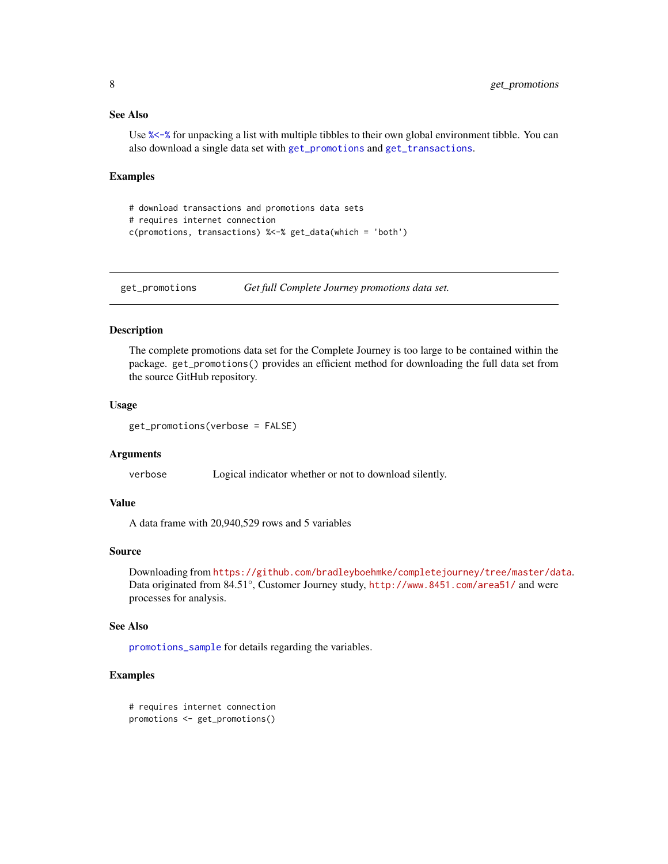#### <span id="page-7-0"></span>See Also

Use [%<-%](#page-13-1) for unpacking a list with multiple tibbles to their own global environment tibble. You can also download a single data set with [get\\_promotions](#page-7-1) and [get\\_transactions](#page-8-1).

#### Examples

```
# download transactions and promotions data sets
# requires internet connection
c(promotions, transactions) %<-% get_data(which = 'both')
```
<span id="page-7-1"></span>get\_promotions *Get full Complete Journey promotions data set.*

#### Description

The complete promotions data set for the Complete Journey is too large to be contained within the package. get\_promotions() provides an efficient method for downloading the full data set from the source GitHub repository.

#### Usage

```
get_promotions(verbose = FALSE)
```
#### Arguments

verbose Logical indicator whether or not to download silently.

#### Value

A data frame with 20,940,529 rows and 5 variables

#### Source

Downloading from <https://github.com/bradleyboehmke/completejourney/tree/master/data>. Data originated from 84.51°, Customer Journey study, <http://www.8451.com/area51/> and were processes for analysis.

#### See Also

[promotions\\_sample](#page-10-1) for details regarding the variables.

```
# requires internet connection
promotions <- get_promotions()
```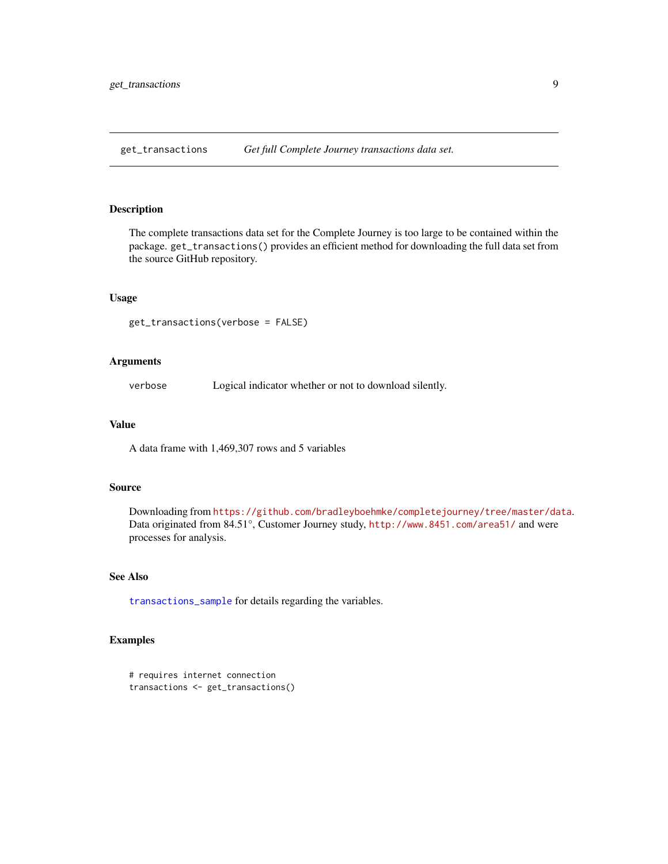<span id="page-8-1"></span><span id="page-8-0"></span>get\_transactions *Get full Complete Journey transactions data set.*

#### Description

The complete transactions data set for the Complete Journey is too large to be contained within the package. get\_transactions() provides an efficient method for downloading the full data set from the source GitHub repository.

#### Usage

get\_transactions(verbose = FALSE)

#### Arguments

verbose Logical indicator whether or not to download silently.

#### Value

A data frame with 1,469,307 rows and 5 variables

#### Source

Downloading from <https://github.com/bradleyboehmke/completejourney/tree/master/data>. Data originated from 84.51°, Customer Journey study, <http://www.8451.com/area51/> and were processes for analysis.

#### See Also

[transactions\\_sample](#page-11-1) for details regarding the variables.

```
# requires internet connection
transactions <- get_transactions()
```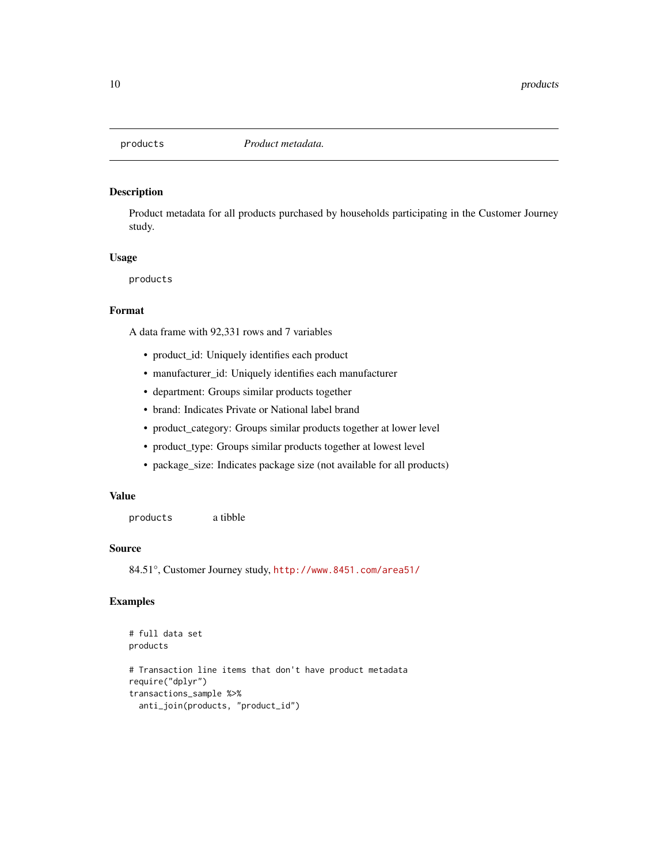<span id="page-9-0"></span>

#### Description

Product metadata for all products purchased by households participating in the Customer Journey study.

#### Usage

products

#### Format

A data frame with 92,331 rows and 7 variables

- product\_id: Uniquely identifies each product
- manufacturer\_id: Uniquely identifies each manufacturer
- department: Groups similar products together
- brand: Indicates Private or National label brand
- product\_category: Groups similar products together at lower level
- product\_type: Groups similar products together at lowest level
- package\_size: Indicates package size (not available for all products)

#### Value

products a tibble

#### Source

84.51°, Customer Journey study, <http://www.8451.com/area51/>

```
# full data set
products
# Transaction line items that don't have product metadata
require("dplyr")
transactions_sample %>%
 anti_join(products, "product_id")
```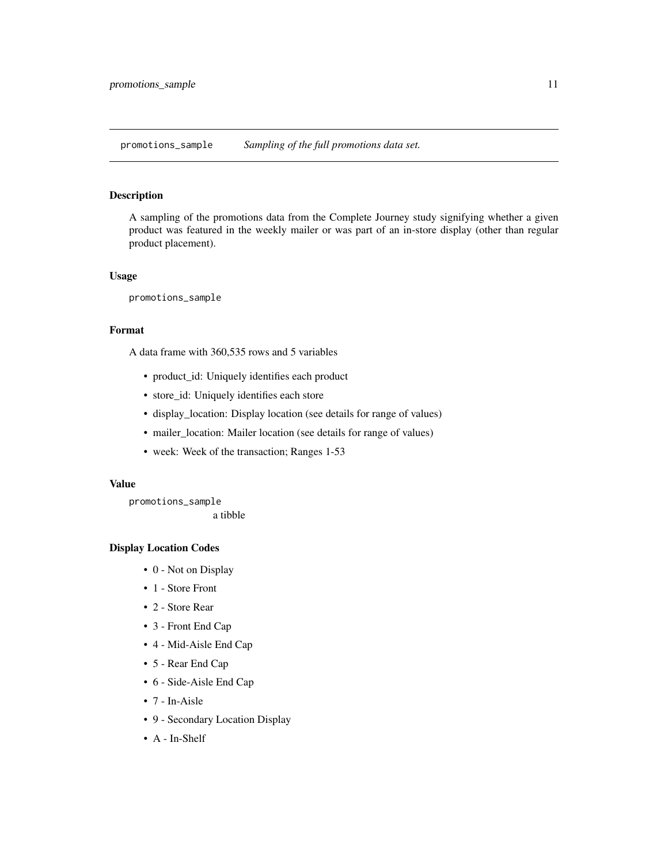<span id="page-10-1"></span><span id="page-10-0"></span>promotions\_sample *Sampling of the full promotions data set.*

#### Description

A sampling of the promotions data from the Complete Journey study signifying whether a given product was featured in the weekly mailer or was part of an in-store display (other than regular product placement).

#### Usage

promotions\_sample

### Format

A data frame with 360,535 rows and 5 variables

- product\_id: Uniquely identifies each product
- store\_id: Uniquely identifies each store
- display\_location: Display location (see details for range of values)
- mailer\_location: Mailer location (see details for range of values)
- week: Week of the transaction; Ranges 1-53

#### Value

promotions\_sample a tibble

#### Display Location Codes

- 0 Not on Display
- 1 Store Front
- 2 Store Rear
- 3 Front End Cap
- 4 Mid-Aisle End Cap
- 5 Rear End Cap
- 6 Side-Aisle End Cap
- 7 In-Aisle
- 9 Secondary Location Display
- A In-Shelf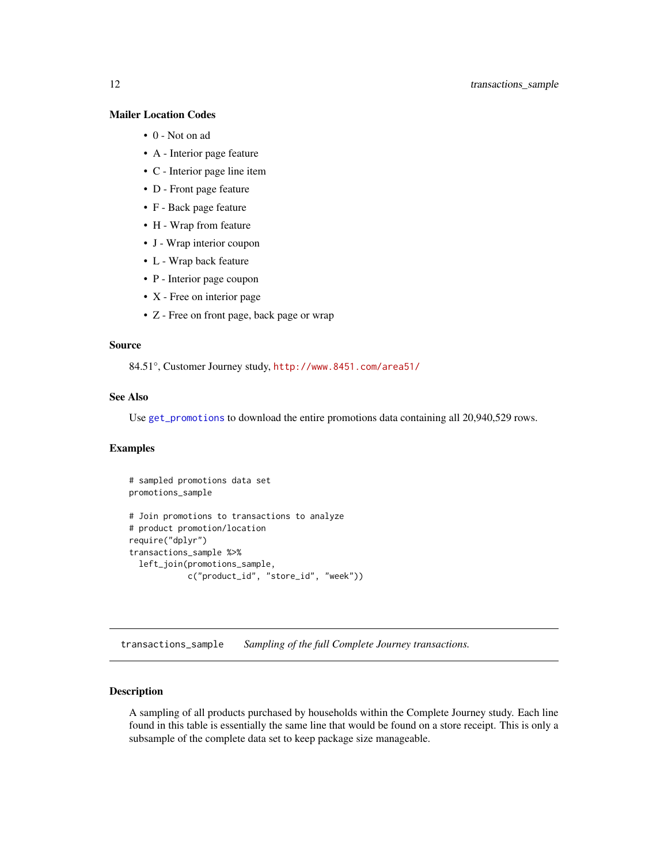#### <span id="page-11-0"></span>Mailer Location Codes

- 0 Not on ad
- A Interior page feature
- C Interior page line item
- D Front page feature
- F Back page feature
- H Wrap from feature
- J Wrap interior coupon
- L Wrap back feature
- P Interior page coupon
- X Free on interior page
- Z Free on front page, back page or wrap

#### Source

84.51°, Customer Journey study, <http://www.8451.com/area51/>

#### See Also

Use [get\\_promotions](#page-7-1) to download the entire promotions data containing all 20,940,529 rows.

#### Examples

```
# sampled promotions data set
promotions_sample
# Join promotions to transactions to analyze
# product promotion/location
require("dplyr")
transactions_sample %>%
 left_join(promotions_sample,
            c("product_id", "store_id", "week"))
```
<span id="page-11-1"></span>transactions\_sample *Sampling of the full Complete Journey transactions.*

#### Description

A sampling of all products purchased by households within the Complete Journey study. Each line found in this table is essentially the same line that would be found on a store receipt. This is only a subsample of the complete data set to keep package size manageable.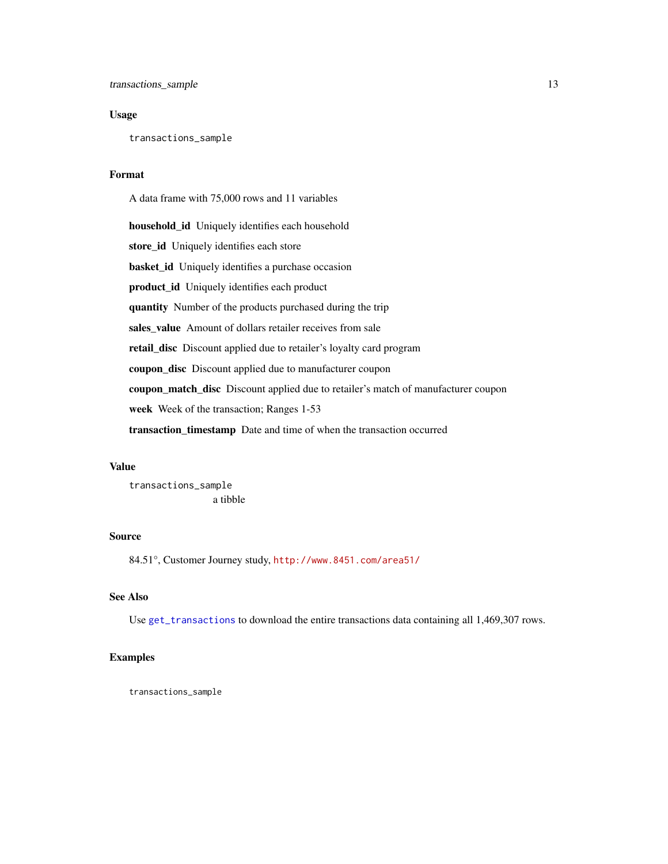#### <span id="page-12-0"></span>Usage

transactions\_sample

#### Format

A data frame with 75,000 rows and 11 variables

household\_id Uniquely identifies each household store\_id Uniquely identifies each store basket\_id Uniquely identifies a purchase occasion product\_id Uniquely identifies each product quantity Number of the products purchased during the trip sales\_value Amount of dollars retailer receives from sale retail\_disc Discount applied due to retailer's loyalty card program coupon\_disc Discount applied due to manufacturer coupon coupon\_match\_disc Discount applied due to retailer's match of manufacturer coupon week Week of the transaction; Ranges 1-53 transaction\_timestamp Date and time of when the transaction occurred

#### Value

transactions\_sample a tibble

#### Source

84.51°, Customer Journey study, <http://www.8451.com/area51/>

#### See Also

Use [get\\_transactions](#page-8-1) to download the entire transactions data containing all 1,469,307 rows.

#### Examples

transactions\_sample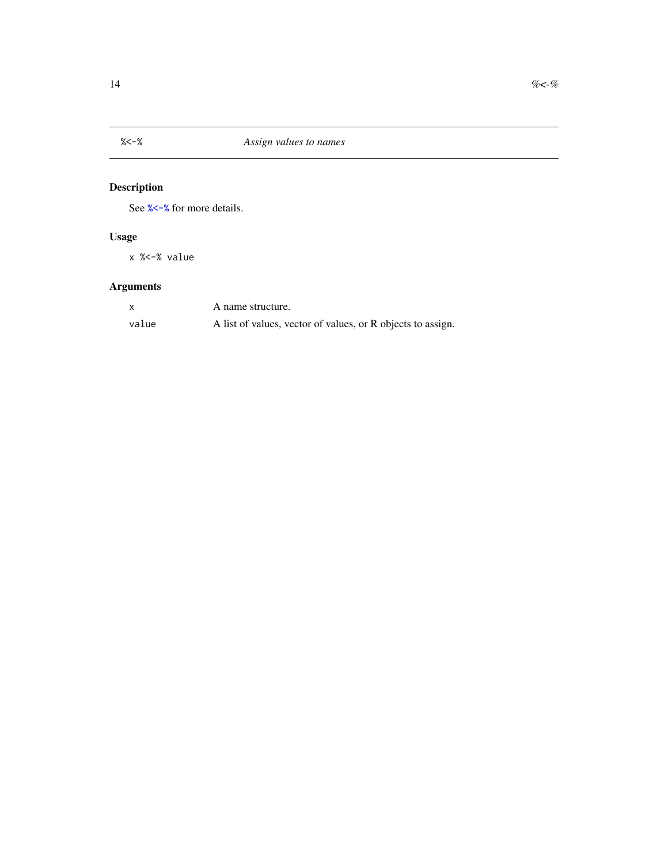<span id="page-13-1"></span><span id="page-13-0"></span>

## Description

See [%<-%](#page-13-1) for more details.

## Usage

x %<-% value

## Arguments

|       | A name structure.                                           |
|-------|-------------------------------------------------------------|
| value | A list of values, vector of values, or R objects to assign. |